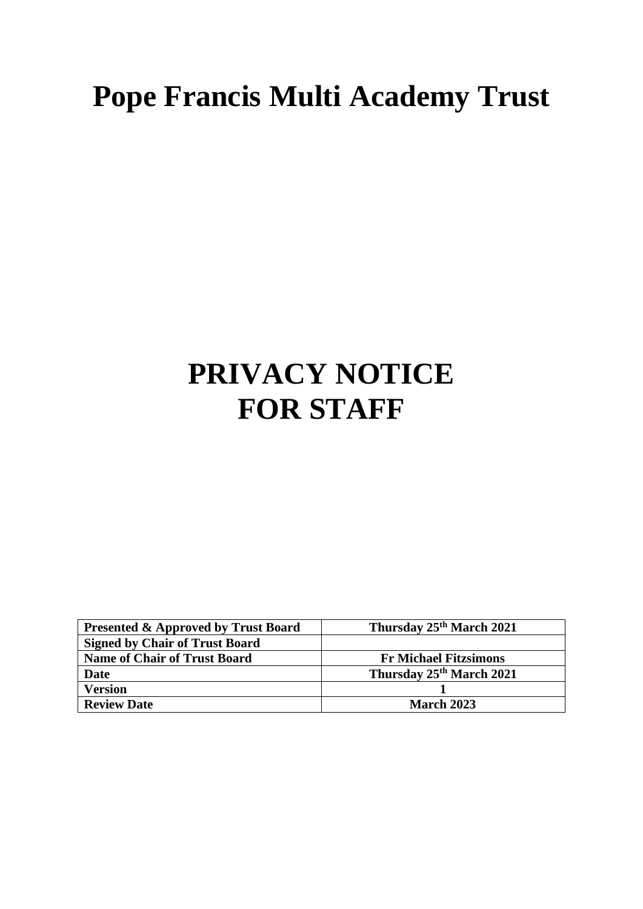# **Pope Francis Multi Academy Trust**

# **PRIVACY NOTICE FOR STAFF**

| <b>Presented &amp; Approved by Trust Board</b> | Thursday 25 <sup>th</sup> March 2021 |
|------------------------------------------------|--------------------------------------|
| <b>Signed by Chair of Trust Board</b>          |                                      |
| <b>Name of Chair of Trust Board</b>            | <b>Fr Michael Fitzsimons</b>         |
| <b>Date</b>                                    | Thursday 25 <sup>th</sup> March 2021 |
| <b>Version</b>                                 |                                      |
| <b>Review Date</b>                             | <b>March 2023</b>                    |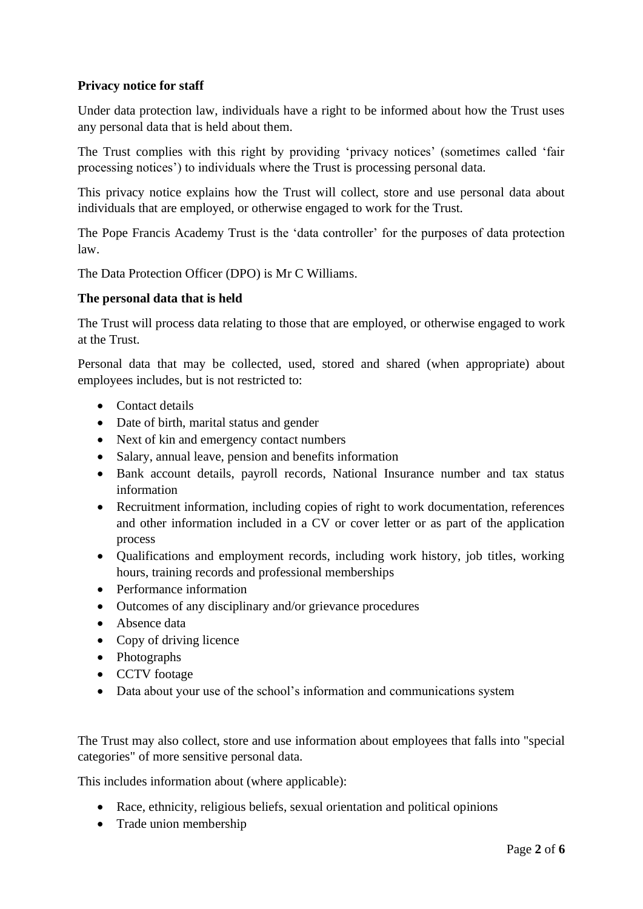# **Privacy notice for staff**

Under data protection law, individuals have a right to be informed about how the Trust uses any personal data that is held about them.

The Trust complies with this right by providing 'privacy notices' (sometimes called 'fair processing notices') to individuals where the Trust is processing personal data.

This privacy notice explains how the Trust will collect, store and use personal data about individuals that are employed, or otherwise engaged to work for the Trust.

The Pope Francis Academy Trust is the 'data controller' for the purposes of data protection law.

The Data Protection Officer (DPO) is Mr C Williams.

## **The personal data that is held**

The Trust will process data relating to those that are employed, or otherwise engaged to work at the Trust.

Personal data that may be collected, used, stored and shared (when appropriate) about employees includes, but is not restricted to:

- Contact details
- Date of birth, marital status and gender
- Next of kin and emergency contact numbers
- Salary, annual leave, pension and benefits information
- Bank account details, payroll records, National Insurance number and tax status information
- Recruitment information, including copies of right to work documentation, references and other information included in a CV or cover letter or as part of the application process
- Qualifications and employment records, including work history, job titles, working hours, training records and professional memberships
- Performance information
- Outcomes of any disciplinary and/or grievance procedures
- Absence data
- Copy of driving licence
- Photographs
- CCTV footage
- Data about your use of the school's information and communications system

The Trust may also collect, store and use information about employees that falls into "special categories" of more sensitive personal data.

This includes information about (where applicable):

- Race, ethnicity, religious beliefs, sexual orientation and political opinions
- Trade union membership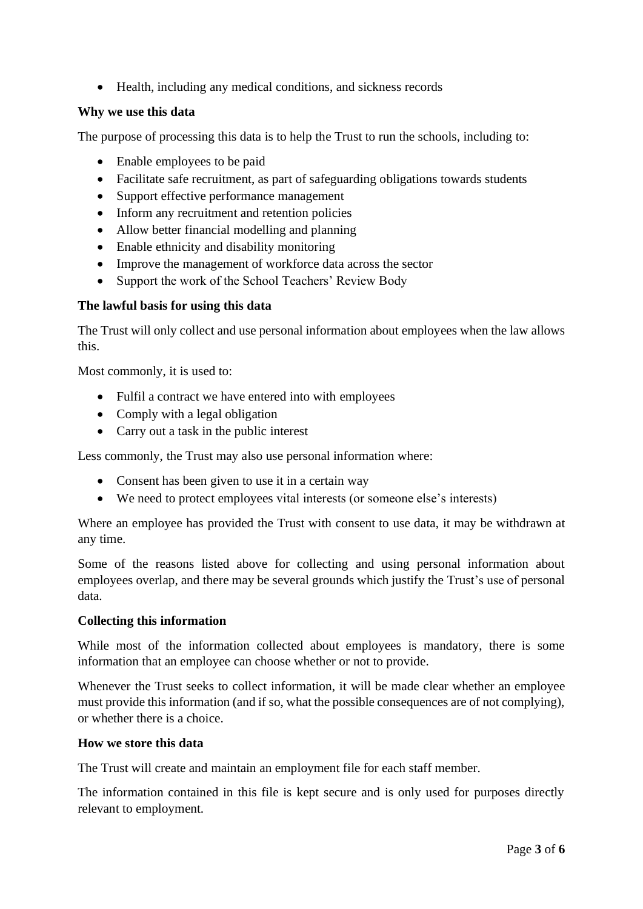• Health, including any medical conditions, and sickness records

# **Why we use this data**

The purpose of processing this data is to help the Trust to run the schools, including to:

- Enable employees to be paid
- Facilitate safe recruitment, as part of safeguarding obligations towards students
- Support effective performance management
- Inform any recruitment and retention policies
- Allow better financial modelling and planning
- Enable ethnicity and disability monitoring
- Improve the management of workforce data across the sector
- Support the work of the School Teachers' Review Body

## **The lawful basis for using this data**

The Trust will only collect and use personal information about employees when the law allows this.

Most commonly, it is used to:

- Fulfil a contract we have entered into with employees
- Comply with a legal obligation
- Carry out a task in the public interest

Less commonly, the Trust may also use personal information where:

- Consent has been given to use it in a certain way
- We need to protect employees vital interests (or someone else's interests)

Where an employee has provided the Trust with consent to use data, it may be withdrawn at any time.

Some of the reasons listed above for collecting and using personal information about employees overlap, and there may be several grounds which justify the Trust's use of personal data.

### **Collecting this information**

While most of the information collected about employees is mandatory, there is some information that an employee can choose whether or not to provide.

Whenever the Trust seeks to collect information, it will be made clear whether an employee must provide this information (and if so, what the possible consequences are of not complying), or whether there is a choice.

### **How we store this data**

The Trust will create and maintain an employment file for each staff member.

The information contained in this file is kept secure and is only used for purposes directly relevant to employment.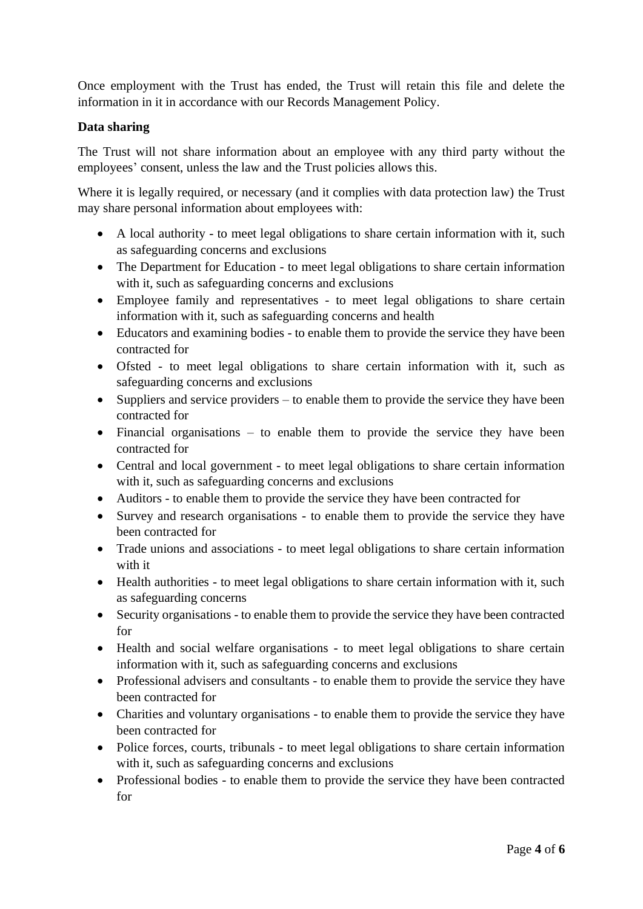Once employment with the Trust has ended, the Trust will retain this file and delete the information in it in accordance with our Records Management Policy.

# **Data sharing**

The Trust will not share information about an employee with any third party without the employees' consent, unless the law and the Trust policies allows this.

Where it is legally required, or necessary (and it complies with data protection law) the Trust may share personal information about employees with:

- A local authority to meet legal obligations to share certain information with it, such as safeguarding concerns and exclusions
- The Department for Education to meet legal obligations to share certain information with it, such as safeguarding concerns and exclusions
- Employee family and representatives to meet legal obligations to share certain information with it, such as safeguarding concerns and health
- Educators and examining bodies to enable them to provide the service they have been contracted for
- Ofsted to meet legal obligations to share certain information with it, such as safeguarding concerns and exclusions
- Suppliers and service providers to enable them to provide the service they have been contracted for
- Financial organisations to enable them to provide the service they have been contracted for
- Central and local government to meet legal obligations to share certain information with it, such as safeguarding concerns and exclusions
- Auditors to enable them to provide the service they have been contracted for
- Survey and research organisations to enable them to provide the service they have been contracted for
- Trade unions and associations to meet legal obligations to share certain information with it
- Health authorities to meet legal obligations to share certain information with it, such as safeguarding concerns
- Security organisations to enable them to provide the service they have been contracted for
- Health and social welfare organisations to meet legal obligations to share certain information with it, such as safeguarding concerns and exclusions
- Professional advisers and consultants to enable them to provide the service they have been contracted for
- Charities and voluntary organisations to enable them to provide the service they have been contracted for
- Police forces, courts, tribunals to meet legal obligations to share certain information with it, such as safeguarding concerns and exclusions
- Professional bodies to enable them to provide the service they have been contracted for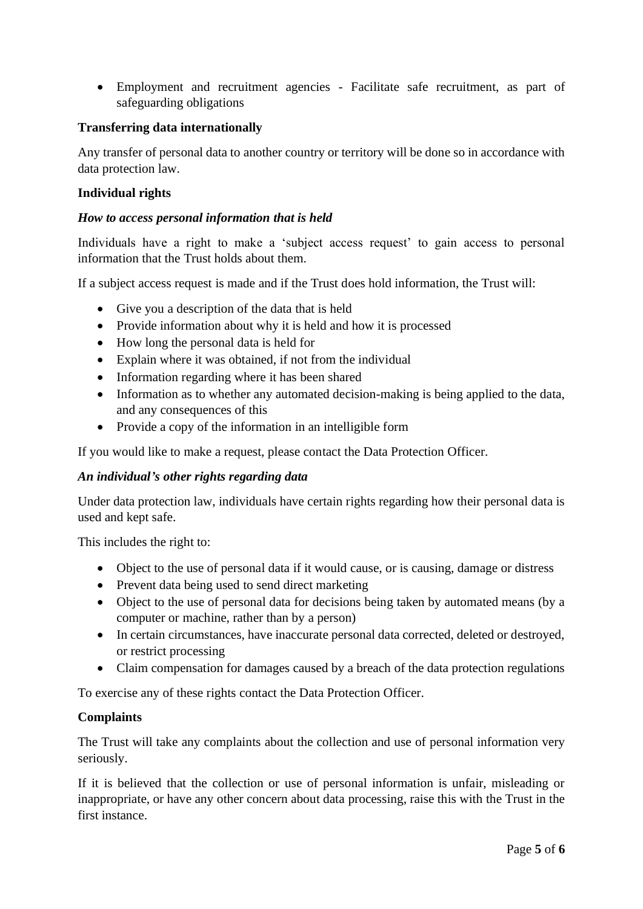• Employment and recruitment agencies - Facilitate safe recruitment, as part of safeguarding obligations

## **Transferring data internationally**

Any transfer of personal data to another country or territory will be done so in accordance with data protection law.

## **Individual rights**

### *How to access personal information that is held*

Individuals have a right to make a 'subject access request' to gain access to personal information that the Trust holds about them.

If a subject access request is made and if the Trust does hold information, the Trust will:

- Give you a description of the data that is held
- Provide information about why it is held and how it is processed
- How long the personal data is held for
- Explain where it was obtained, if not from the individual
- Information regarding where it has been shared
- Information as to whether any automated decision-making is being applied to the data, and any consequences of this
- Provide a copy of the information in an intelligible form

If you would like to make a request, please contact the Data Protection Officer.

### *An individual's other rights regarding data*

Under data protection law, individuals have certain rights regarding how their personal data is used and kept safe.

This includes the right to:

- Object to the use of personal data if it would cause, or is causing, damage or distress
- Prevent data being used to send direct marketing
- Object to the use of personal data for decisions being taken by automated means (by a computer or machine, rather than by a person)
- In certain circumstances, have inaccurate personal data corrected, deleted or destroyed, or restrict processing
- Claim compensation for damages caused by a breach of the data protection regulations

To exercise any of these rights contact the Data Protection Officer.

### **Complaints**

The Trust will take any complaints about the collection and use of personal information very seriously.

If it is believed that the collection or use of personal information is unfair, misleading or inappropriate, or have any other concern about data processing, raise this with the Trust in the first instance.